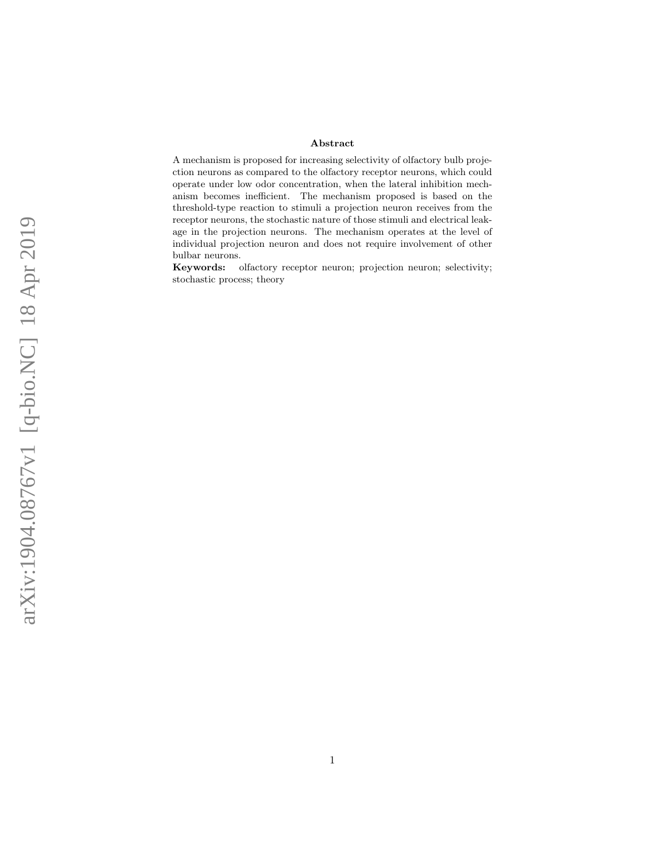#### Abstract

A mechanism is proposed for increasing selectivity of olfactory bulb projection neurons as compared to the olfactory receptor neurons, which could operate under low odor concentration, when the lateral inhibition mechanism becomes inefficient. The mechanism proposed is based on the threshold-type reaction to stimuli a projection neuron receives from the receptor neurons, the stochastic nature of those stimuli and electrical leakage in the projection neurons. The mechanism operates at the level of individual projection neuron and does not require involvement of other bulbar neurons.

Keywords: olfactory receptor neuron; projection neuron; selectivity; stochastic process; theory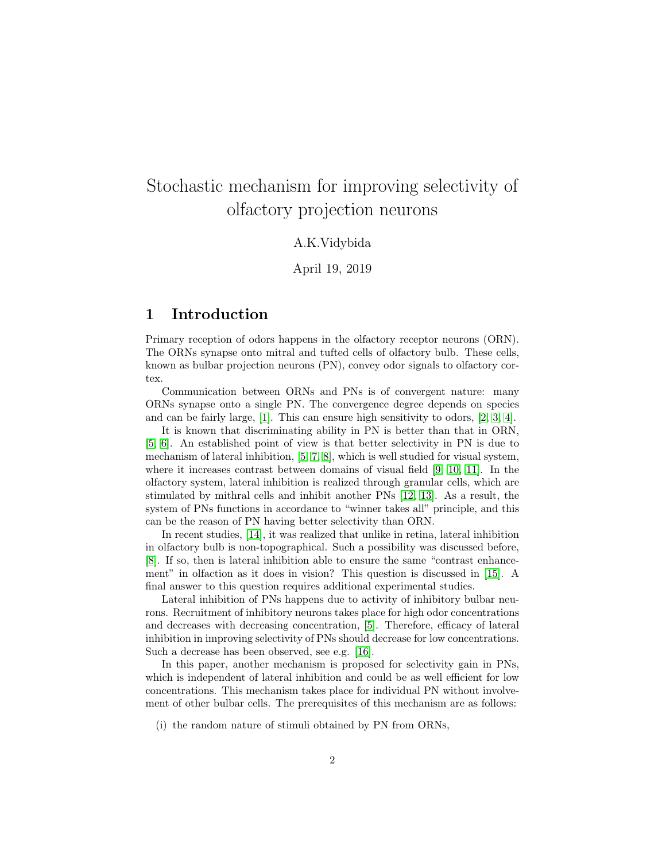# Stochastic mechanism for improving selectivity of olfactory projection neurons

## A.K.Vidybida

April 19, 2019

# 1 Introduction

Primary reception of odors happens in the olfactory receptor neurons (ORN). The ORNs synapse onto mitral and tufted cells of olfactory bulb. These cells, known as bulbar projection neurons (PN), convey odor signals to olfactory cortex.

Communication between ORNs and PNs is of convergent nature: many ORNs synapse onto a single PN. The convergence degree depends on species and can be fairly large, [\[1\]](#page-10-0). This can ensure high sensitivity to odors, [\[2,](#page-10-1) [3,](#page-10-2) [4\]](#page-10-3).

It is known that discriminating ability in PN is better than that in ORN, [\[5,](#page-10-4) [6\]](#page-10-5). An established point of view is that better selectivity in PN is due to mechanism of lateral inhibition, [\[5,](#page-10-4) [7,](#page-10-6) [8\]](#page-10-7), which is well studied for visual system, where it increases contrast between domains of visual field [\[9,](#page-11-0) [10,](#page-11-1) [11\]](#page-11-2). In the olfactory system, lateral inhibition is realized through granular cells, which are stimulated by mithral cells and inhibit another PNs [\[12,](#page-11-3) [13\]](#page-11-4). As a result, the system of PNs functions in accordance to "winner takes all" principle, and this can be the reason of PN having better selectivity than ORN.

In recent studies, [\[14\]](#page-11-5), it was realized that unlike in retina, lateral inhibition in olfactory bulb is non-topographical. Such a possibility was discussed before, [\[8\]](#page-10-7). If so, then is lateral inhibition able to ensure the same "contrast enhancement" in olfaction as it does in vision? This question is discussed in [\[15\]](#page-11-6). A final answer to this question requires additional experimental studies.

Lateral inhibition of PNs happens due to activity of inhibitory bulbar neurons. Recruitment of inhibitory neurons takes place for high odor concentrations and decreases with decreasing concentration, [\[5\]](#page-10-4). Therefore, efficacy of lateral inhibition in improving selectivity of PNs should decrease for low concentrations. Such a decrease has been observed, see e.g. [\[16\]](#page-11-7).

In this paper, another mechanism is proposed for selectivity gain in PNs, which is independent of lateral inhibition and could be as well efficient for low concentrations. This mechanism takes place for individual PN without involvement of other bulbar cells. The prerequisites of this mechanism are as follows:

(i) the random nature of stimuli obtained by PN from ORNs,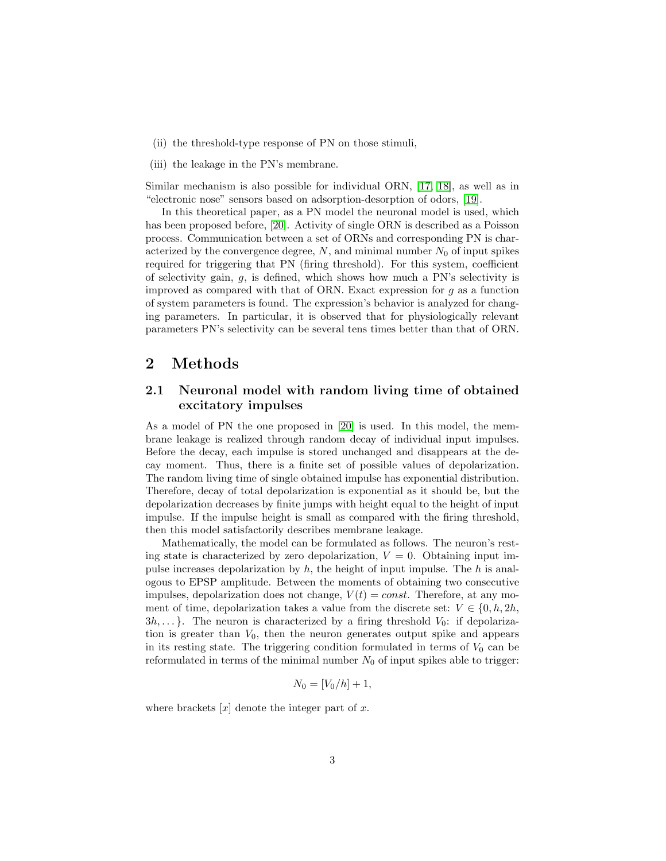- (ii) the threshold-type response of PN on those stimuli,
- (iii) the leakage in the PN's membrane.

Similar mechanism is also possible for individual ORN, [\[17,](#page-11-8) [18\]](#page-11-9), as well as in "electronic nose" sensors based on adsorption-desorption of odors, [\[19\]](#page-11-10).

In this theoretical paper, as a PN model the neuronal model is used, which has been proposed before, [\[20\]](#page-11-11). Activity of single ORN is described as a Poisson process. Communication between a set of ORNs and corresponding PN is characterized by the convergence degree,  $N$ , and minimal number  $N_0$  of input spikes required for triggering that PN (firing threshold). For this system, coefficient of selectivity gain, g, is defined, which shows how much a PN's selectivity is improved as compared with that of ORN. Exact expression for  $g$  as a function of system parameters is found. The expression's behavior is analyzed for changing parameters. In particular, it is observed that for physiologically relevant parameters PN's selectivity can be several tens times better than that of ORN.

## 2 Methods

## <span id="page-2-0"></span>2.1 Neuronal model with random living time of obtained excitatory impulses

As a model of PN the one proposed in [\[20\]](#page-11-11) is used. In this model, the membrane leakage is realized through random decay of individual input impulses. Before the decay, each impulse is stored unchanged and disappears at the decay moment. Thus, there is a finite set of possible values of depolarization. The random living time of single obtained impulse has exponential distribution. Therefore, decay of total depolarization is exponential as it should be, but the depolarization decreases by finite jumps with height equal to the height of input impulse. If the impulse height is small as compared with the firing threshold, then this model satisfactorily describes membrane leakage.

Mathematically, the model can be formulated as follows. The neuron's resting state is characterized by zero depolarization,  $V = 0$ . Obtaining input impulse increases depolarization by  $h$ , the height of input impulse. The  $h$  is analogous to EPSP amplitude. Between the moments of obtaining two consecutive impulses, depolarization does not change,  $V(t) = const$ . Therefore, at any moment of time, depolarization takes a value from the discrete set:  $V \in \{0, h, 2h,$  $3h, \ldots$ . The neuron is characterized by a firing threshold  $V_0$ : if depolarization is greater than  $V_0$ , then the neuron generates output spike and appears in its resting state. The triggering condition formulated in terms of  $V_0$  can be reformulated in terms of the minimal number  $N_0$  of input spikes able to trigger:

$$
N_0 = [V_0/h] + 1,
$$

where brackets  $[x]$  denote the integer part of x.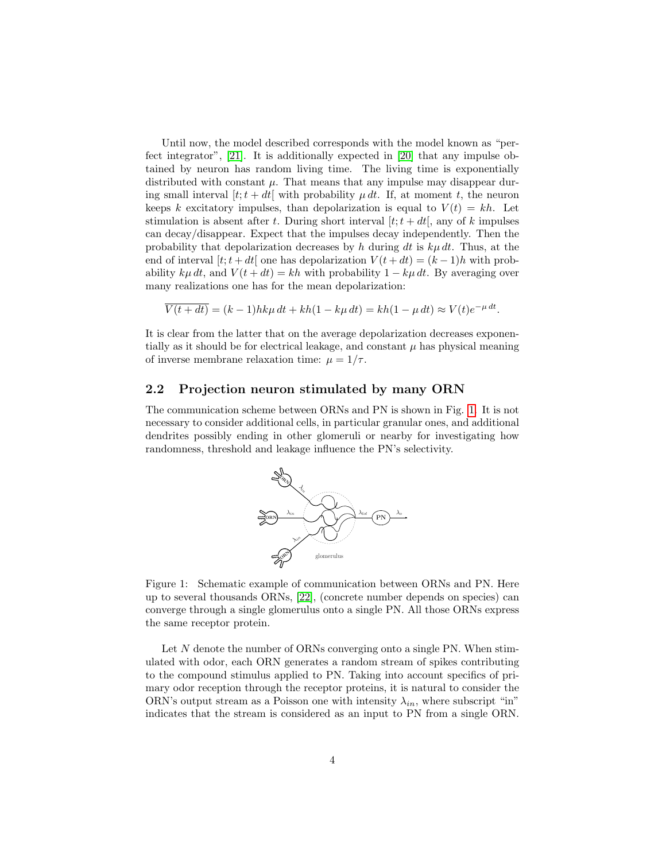Until now, the model described corresponds with the model known as "perfect integrator", [\[21\]](#page-11-12). It is additionally expected in [\[20\]](#page-11-11) that any impulse obtained by neuron has random living time. The living time is exponentially distributed with constant  $\mu$ . That means that any impulse may disappear during small interval  $[t; t + dt]$  with probability  $\mu dt$ . If, at moment t, the neuron keeps k excitatory impulses, than depolarization is equal to  $V(t) = kh$ . Let stimulation is absent after t. During short interval  $[t; t + dt]$ , any of k impulses can decay/disappear. Expect that the impulses decay independently. Then the probability that depolarization decreases by h during dt is  $k\mu dt$ . Thus, at the end of interval  $[t; t + dt]$  one has depolarization  $V(t + dt) = (k - 1)h$  with probability  $k\mu dt$ , and  $V(t+dt) = kh$  with probability  $1 - k\mu dt$ . By averaging over many realizations one has for the mean depolarization:

$$
\overline{V(t+dt)} = (k-1)hk\mu dt + kh(1 - k\mu dt) = kh(1 - \mu dt) \approx V(t)e^{-\mu dt}.
$$

It is clear from the latter that on the average depolarization decreases exponentially as it should be for electrical leakage, and constant  $\mu$  has physical meaning of inverse membrane relaxation time:  $\mu = 1/\tau$ .

### 2.2 Projection neuron stimulated by many ORN

The communication scheme between ORNs and PN is shown in Fig. [1.](#page-3-0) It is not necessary to consider additional cells, in particular granular ones, and additional dendrites possibly ending in other glomeruli or nearby for investigating how randomness, threshold and leakage influence the PN's selectivity.



<span id="page-3-0"></span>Figure 1: Schematic example of communication between ORNs and PN. Here up to several thousands ORNs, [\[22\]](#page-11-13), (concrete number depends on species) can converge through a single glomerulus onto a single PN. All those ORNs express the same receptor protein.

Let N denote the number of ORNs converging onto a single PN. When stimulated with odor, each ORN generates a random stream of spikes contributing to the compound stimulus applied to PN. Taking into account specifics of primary odor reception through the receptor proteins, it is natural to consider the ORN's output stream as a Poisson one with intensity  $\lambda_{in}$ , where subscript "in" indicates that the stream is considered as an input to PN from a single ORN.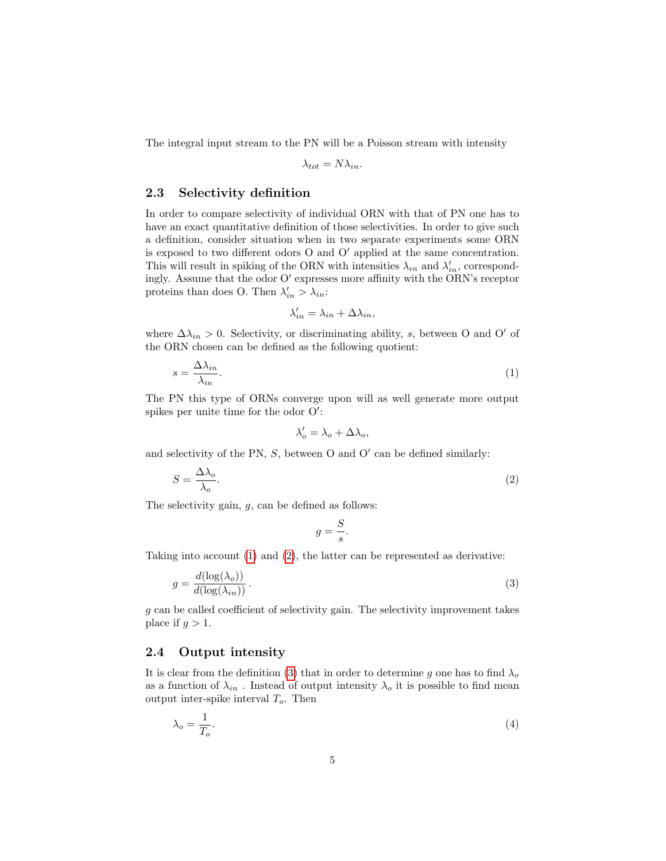The integral input stream to the PN will be a Poisson stream with intensity

$$
\lambda_{tot} = N \lambda_{in}.
$$

#### 2.3 Selectivity definition

In order to compare selectivity of individual ORN with that of PN one has to have an exact quantitative definition of those selectivities. In order to give such a definition, consider situation when in two separate experiments some ORN is exposed to two different odors  $O$  and  $O'$  applied at the same concentration. This will result in spiking of the ORN with intensities  $\lambda_{in}$  and  $\lambda'_{in}$ , correspondingly. Assume that the odor  $O'$  expresses more affinity with the ORN's receptor proteins than does O. Then  $\lambda'_{in} > \lambda_{in}$ :

<span id="page-4-0"></span>
$$
\lambda'_{in} = \lambda_{in} + \Delta \lambda_{in},
$$

where  $\Delta \lambda_{in} > 0$ . Selectivity, or discriminating ability, s, between O and O' of the ORN chosen can be defined as the following quotient:

$$
s = \frac{\Delta \lambda_{in}}{\lambda_{in}}.\tag{1}
$$

The PN this type of ORNs converge upon will as well generate more output spikes per unite time for the odor  $O'$ :

$$
\lambda_o' = \lambda_o + \Delta \lambda_o,
$$

and selectivity of the PN,  $S$ , between O and O' can be defined similarly:

$$
S = \frac{\Delta\lambda_o}{\lambda_o}.\tag{2}
$$

The selectivity gain,  $g$ , can be defined as follows:

<span id="page-4-2"></span><span id="page-4-1"></span>
$$
g = \frac{S}{s}.
$$

Taking into account [\(1\)](#page-4-0) and [\(2\)](#page-4-1), the latter can be represented as derivative:

$$
g = \frac{d(\log(\lambda_o))}{d(\log(\lambda_{in}))}.
$$
\n(3)

 $g$  can be called coefficient of selectivity gain. The selectivity improvement takes place if  $q > 1$ .

## 2.4 Output intensity

It is clear from the definition [\(3\)](#page-4-2) that in order to determine g one has to find  $\lambda_o$ as a function of  $\lambda_{in}$  . Instead of output intensity  $\lambda_o$  it is possible to find mean output inter-spike interval  $T_o$ . Then

<span id="page-4-3"></span>
$$
\lambda_o = \frac{1}{T_o}.\tag{4}
$$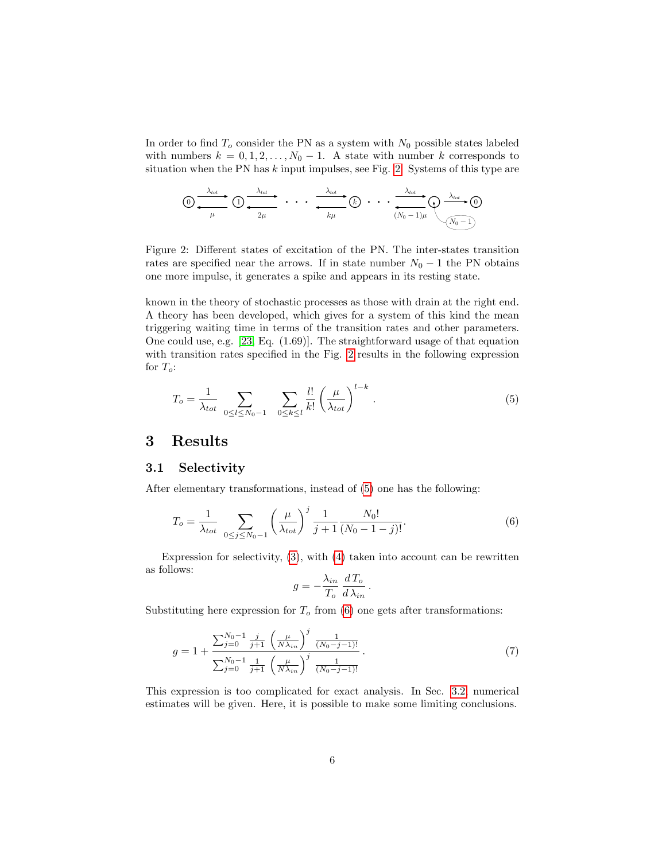In order to find  $T<sub>o</sub>$  consider the PN as a system with  $N<sub>0</sub>$  possible states labeled with numbers  $k = 0, 1, 2, ..., N_0 - 1$ . A state with number k corresponds to situation when the PN has  $k$  input impulses, see Fig. [2.](#page-5-0) Systems of this type are

$$
\bigcirc \frac{\lambda_{tot}}{\mu} \bigcirc \frac{\lambda_{tot}}{\mu} \cdots \bigcirc \frac{\lambda_{tot}}{2\mu} \cdots \cdots \bigcirc \frac{\lambda_{tot}}{\mu} \bigcirc \bigcirc \cdots \bigcirc \frac{\lambda_{tot}}{(N_0-1)\mu} \bigcirc \frac{\lambda_{tot}}{(N_0-1)}
$$

<span id="page-5-0"></span>Figure 2: Different states of excitation of the PN. The inter-states transition rates are specified near the arrows. If in state number  $N_0 - 1$  the PN obtains one more impulse, it generates a spike and appears in its resting state.

known in the theory of stochastic processes as those with drain at the right end. A theory has been developed, which gives for a system of this kind the mean triggering waiting time in terms of the transition rates and other parameters. One could use, e.g. [\[23,](#page-11-14) Eq. (1.69)]. The straightforward usage of that equation with transition rates specified in the Fig. [2](#page-5-0) results in the following expression for  $T_o$ :

<span id="page-5-1"></span>
$$
T_o = \frac{1}{\lambda_{tot}} \sum_{0 \le l \le N_0 - 1} \sum_{0 \le k \le l} \frac{l!}{k!} \left(\frac{\mu}{\lambda_{tot}}\right)^{l-k}.
$$
 (5)

# 3 Results

## 3.1 Selectivity

After elementary transformations, instead of [\(5\)](#page-5-1) one has the following:

$$
T_o = \frac{1}{\lambda_{tot}} \sum_{0 \le j \le N_0 - 1} \left(\frac{\mu}{\lambda_{tot}}\right)^j \frac{1}{j+1} \frac{N_0!}{(N_0 - 1 - j)!}.
$$
 (6)

Expression for selectivity, [\(3\)](#page-4-2), with [\(4\)](#page-4-3) taken into account can be rewritten as follows:

<span id="page-5-3"></span><span id="page-5-2"></span>
$$
g = -\frac{\lambda_{in}}{T_o} \frac{dT_o}{d \lambda_{in}}.
$$

Substituting here expression for  $T<sub>o</sub>$  from [\(6\)](#page-5-2) one gets after transformations:

$$
g = 1 + \frac{\sum_{j=0}^{N_0 - 1} \frac{j}{j+1} \left(\frac{\mu}{N\lambda_{in}}\right)^j \frac{1}{(N_0 - j - 1)!}}{\sum_{j=0}^{N_0 - 1} \frac{1}{j+1} \left(\frac{\mu}{N\lambda_{in}}\right)^j \frac{1}{(N_0 - j - 1)!}}.
$$
(7)

This expression is too complicated for exact analysis. In Sec. [3.2,](#page-6-0) numerical estimates will be given. Here, it is possible to make some limiting conclusions.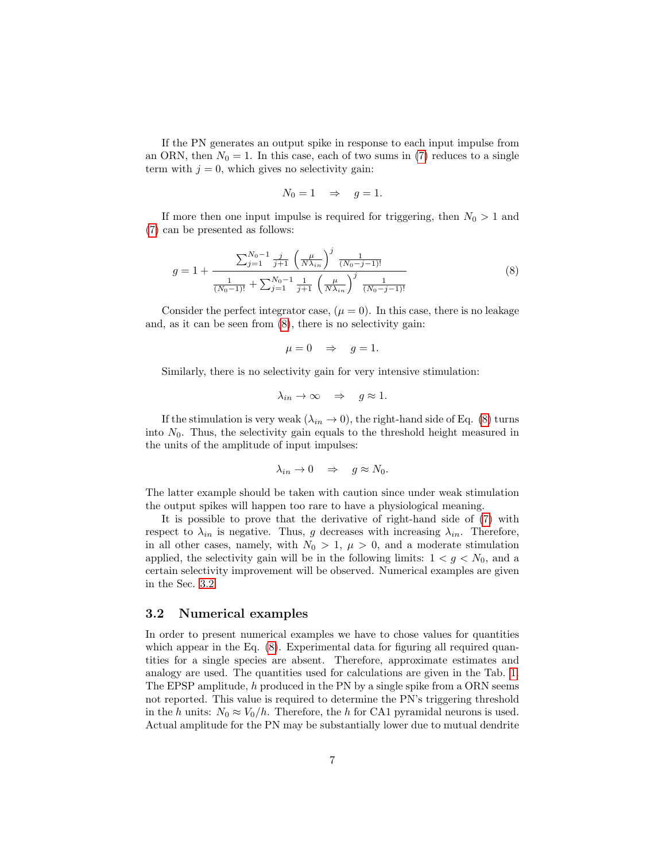If the PN generates an output spike in response to each input impulse from an ORN, then  $N_0 = 1$ . In this case, each of two sums in [\(7\)](#page-5-3) reduces to a single term with  $j = 0$ , which gives no selectivity gain:

<span id="page-6-1"></span>
$$
N_0 = 1 \quad \Rightarrow \quad g = 1.
$$

If more then one input impulse is required for triggering, then  $N_0 > 1$  and [\(7\)](#page-5-3) can be presented as follows:

$$
g = 1 + \frac{\sum_{j=1}^{N_0 - 1} \frac{j}{j+1} \left(\frac{\mu}{N\lambda_{in}}\right)^j \frac{1}{(N_0 - j - 1)!}}{\frac{1}{(N_0 - 1)!} + \sum_{j=1}^{N_0 - 1} \frac{1}{j+1} \left(\frac{\mu}{N\lambda_{in}}\right)^j \frac{1}{(N_0 - j - 1)!}}
$$
(8)

Consider the perfect integrator case,  $(\mu = 0)$ . In this case, there is no leakage and, as it can be seen from [\(8\)](#page-6-1), there is no selectivity gain:

$$
\mu = 0 \quad \Rightarrow \quad g = 1.
$$

Similarly, there is no selectivity gain for very intensive stimulation:

$$
\lambda_{in}\to\infty\quad\Rightarrow\quad g\approx 1.
$$

If the stimulation is very weak  $(\lambda_{in} \to 0)$ , the right-hand side of Eq. [\(8\)](#page-6-1) turns into  $N_0$ . Thus, the selectivity gain equals to the threshold height measured in the units of the amplitude of input impulses:

$$
\lambda_{in} \to 0 \quad \Rightarrow \quad g \approx N_0.
$$

The latter example should be taken with caution since under weak stimulation the output spikes will happen too rare to have a physiological meaning.

It is possible to prove that the derivative of right-hand side of [\(7\)](#page-5-3) with respect to  $\lambda_{in}$  is negative. Thus, g decreases with increasing  $\lambda_{in}$ . Therefore, in all other cases, namely, with  $N_0 > 1$ ,  $\mu > 0$ , and a moderate stimulation applied, the selectivity gain will be in the following limits:  $1 < g < N_0$ , and a certain selectivity improvement will be observed. Numerical examples are given in the Sec. [3.2.](#page-6-0)

#### <span id="page-6-0"></span>3.2 Numerical examples

In order to present numerical examples we have to chose values for quantities which appear in the Eq.  $(8)$ . Experimental data for figuring all required quantities for a single species are absent. Therefore, approximate estimates and analogy are used. The quantities used for calculations are given in the Tab. [1.](#page-7-0) The EPSP amplitude, h produced in the PN by a single spike from a ORN seems not reported. This value is required to determine the PN's triggering threshold in the h units:  $N_0 \approx V_0/h$ . Therefore, the h for CA1 pyramidal neurons is used. Actual amplitude for the PN may be substantially lower due to mutual dendrite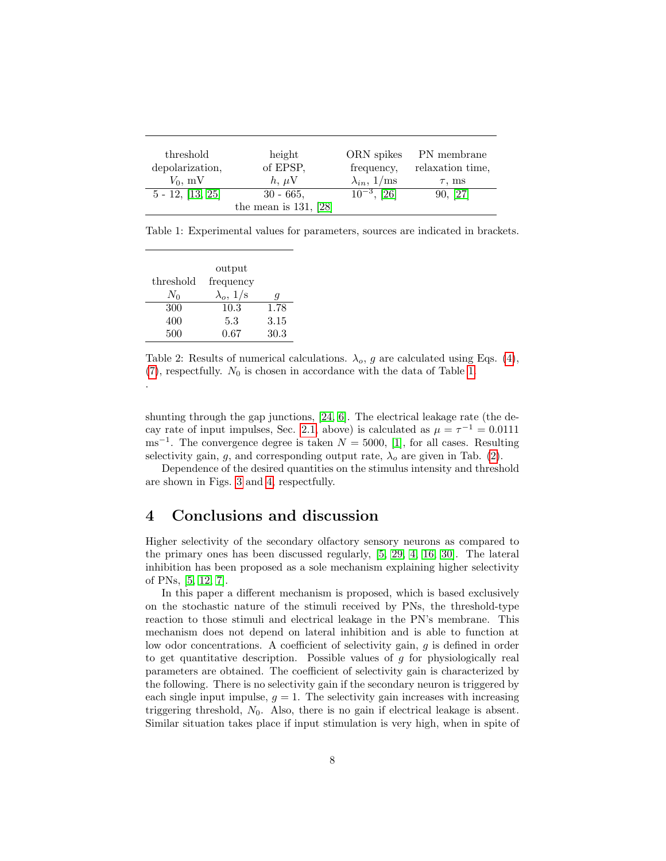| threshold<br>depolarization, | height<br>of EPSP,      | ORN spikes<br>frequency,    | PN membrane<br>relaxation time, |
|------------------------------|-------------------------|-----------------------------|---------------------------------|
| $V_0$ , mV                   | $h, \mu V$              | $\lambda_{in}, 1/\text{ms}$ | $\tau$ , ms                     |
| $5 - 12, [13, 25]$           | $30 - 665$ ,            | $10^{-3}$ , [26]            | 90, [27]                        |
|                              | the mean is $131, [28]$ |                             |                                 |

<span id="page-7-0"></span>Table 1: Experimental values for parameters, sources are indicated in brackets.

|           | output           |      |
|-----------|------------------|------|
| threshold | frequency        |      |
| $N_0$     | $\lambda_o, 1/s$ | q    |
| 300       | 10.3             | 1.78 |
| 400       | 5.3              | 3.15 |
| 500       | 0.67             | 30.3 |

.

<span id="page-7-1"></span>Table 2: Results of numerical calculations.  $\lambda_o$ , g are calculated using Eqs. [\(4\)](#page-4-3),  $(7)$ , respectfully.  $N_0$  is chosen in accordance with the data of Table [1.](#page-7-0)

shunting through the gap junctions, [\[24,](#page-11-18) [6\]](#page-10-5). The electrical leakage rate (the de-cay rate of input impulses, Sec. [2.1,](#page-2-0) above) is calculated as  $\mu = \tau^{-1} = 0.0111$  $\text{ms}^{-1}$ . The convergence degree is taken  $N = 5000$ , [\[1\]](#page-10-0), for all cases. Resulting selectivity gain, q, and corresponding output rate,  $\lambda_o$  are given in Tab. [\(2\)](#page-7-1).

Dependence of the desired quantities on the stimulus intensity and threshold are shown in Figs. [3](#page-8-0) and [4,](#page-8-1) respectfully.

# 4 Conclusions and discussion

Higher selectivity of the secondary olfactory sensory neurons as compared to the primary ones has been discussed regularly, [\[5,](#page-10-4) [29,](#page-12-1) [4,](#page-10-3) [16,](#page-11-7) [30\]](#page-12-2). The lateral inhibition has been proposed as a sole mechanism explaining higher selectivity of PNs, [\[5,](#page-10-4) [12,](#page-11-3) [7\]](#page-10-6).

In this paper a different mechanism is proposed, which is based exclusively on the stochastic nature of the stimuli received by PNs, the threshold-type reaction to those stimuli and electrical leakage in the PN's membrane. This mechanism does not depend on lateral inhibition and is able to function at low odor concentrations. A coefficient of selectivity gain, g is defined in order to get quantitative description. Possible values of  $g$  for physiologically real parameters are obtained. The coefficient of selectivity gain is characterized by the following. There is no selectivity gain if the secondary neuron is triggered by each single input impulse,  $q = 1$ . The selectivity gain increases with increasing triggering threshold,  $N_0$ . Also, there is no gain if electrical leakage is absent. Similar situation takes place if input stimulation is very high, when in spite of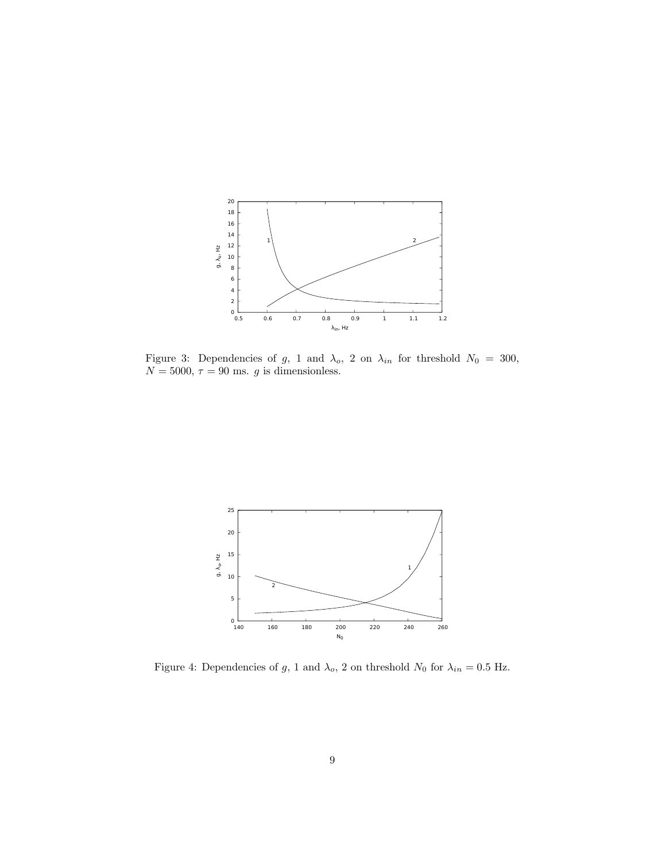

<span id="page-8-0"></span>Figure 3: Dependencies of g, 1 and  $\lambda_o$ , 2 on  $\lambda_{in}$  for threshold  $N_0 = 300$ ,  $N = 5000, \tau = 90$  ms. g is dimensionless.



<span id="page-8-1"></span>Figure 4: Dependencies of g, 1 and  $\lambda_o$ , 2 on threshold  $N_0$  for  $\lambda_{in} = 0.5$  Hz.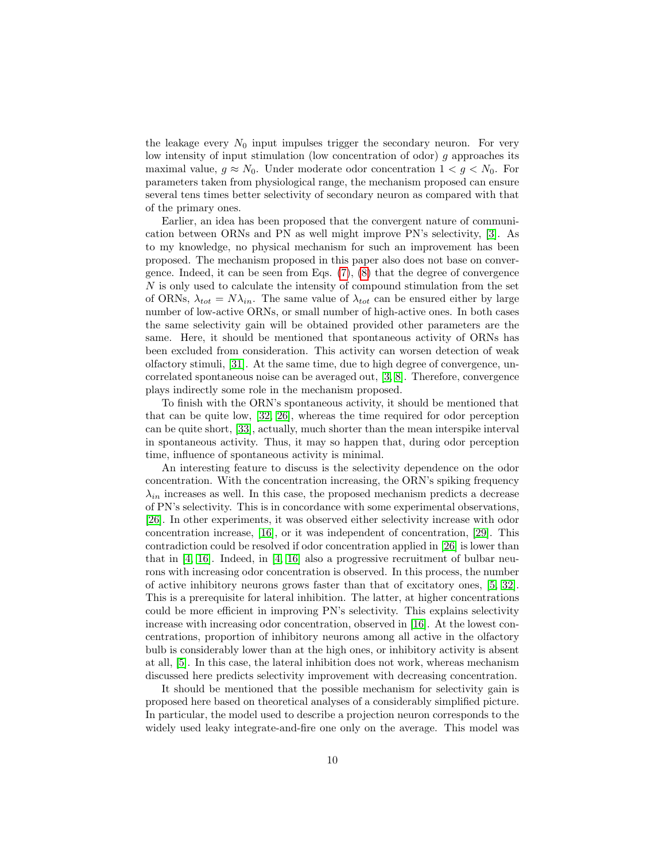the leakage every  $N_0$  input impulses trigger the secondary neuron. For very low intensity of input stimulation (low concentration of odor) g approaches its maximal value,  $g \approx N_0$ . Under moderate odor concentration  $1 < g < N_0$ . For parameters taken from physiological range, the mechanism proposed can ensure several tens times better selectivity of secondary neuron as compared with that of the primary ones.

Earlier, an idea has been proposed that the convergent nature of communication between ORNs and PN as well might improve PN's selectivity, [\[3\]](#page-10-2). As to my knowledge, no physical mechanism for such an improvement has been proposed. The mechanism proposed in this paper also does not base on convergence. Indeed, it can be seen from Eqs.  $(7)$ ,  $(8)$  that the degree of convergence N is only used to calculate the intensity of compound stimulation from the set of ORNs,  $\lambda_{tot} = N \lambda_{in}$ . The same value of  $\lambda_{tot}$  can be ensured either by large number of low-active ORNs, or small number of high-active ones. In both cases the same selectivity gain will be obtained provided other parameters are the same. Here, it should be mentioned that spontaneous activity of ORNs has been excluded from consideration. This activity can worsen detection of weak olfactory stimuli, [\[31\]](#page-12-3). At the same time, due to high degree of convergence, uncorrelated spontaneous noise can be averaged out, [\[3,](#page-10-2) [8\]](#page-10-7). Therefore, convergence plays indirectly some role in the mechanism proposed.

To finish with the ORN's spontaneous activity, it should be mentioned that that can be quite low, [\[32,](#page-12-4) [26\]](#page-11-16), whereas the time required for odor perception can be quite short, [\[33\]](#page-12-5), actually, much shorter than the mean interspike interval in spontaneous activity. Thus, it may so happen that, during odor perception time, influence of spontaneous activity is minimal.

An interesting feature to discuss is the selectivity dependence on the odor concentration. With the concentration increasing, the ORN's spiking frequency  $\lambda_{in}$  increases as well. In this case, the proposed mechanism predicts a decrease of PN's selectivity. This is in concordance with some experimental observations, [\[26\]](#page-11-16). In other experiments, it was observed either selectivity increase with odor concentration increase, [\[16\]](#page-11-7), or it was independent of concentration, [\[29\]](#page-12-1). This contradiction could be resolved if odor concentration applied in [\[26\]](#page-11-16) is lower than that in  $[4, 16]$  $[4, 16]$ . Indeed, in  $[4, 16]$  also a progressive recruitment of bulbar neurons with increasing odor concentration is observed. In this process, the number of active inhibitory neurons grows faster than that of excitatory ones, [\[5,](#page-10-4) [32\]](#page-12-4). This is a prerequisite for lateral inhibition. The latter, at higher concentrations could be more efficient in improving PN's selectivity. This explains selectivity increase with increasing odor concentration, observed in [\[16\]](#page-11-7). At the lowest concentrations, proportion of inhibitory neurons among all active in the olfactory bulb is considerably lower than at the high ones, or inhibitory activity is absent at all, [\[5\]](#page-10-4). In this case, the lateral inhibition does not work, whereas mechanism discussed here predicts selectivity improvement with decreasing concentration.

It should be mentioned that the possible mechanism for selectivity gain is proposed here based on theoretical analyses of a considerably simplified picture. In particular, the model used to describe a projection neuron corresponds to the widely used leaky integrate-and-fire one only on the average. This model was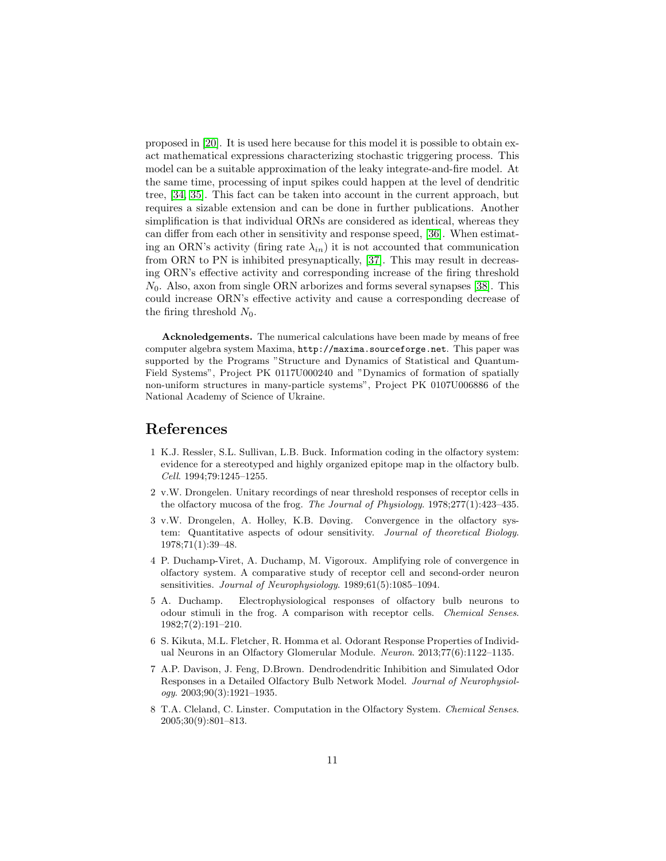proposed in [\[20\]](#page-11-11). It is used here because for this model it is possible to obtain exact mathematical expressions characterizing stochastic triggering process. This model can be a suitable approximation of the leaky integrate-and-fire model. At the same time, processing of input spikes could happen at the level of dendritic tree, [\[34,](#page-12-6) [35\]](#page-12-7). This fact can be taken into account in the current approach, but requires a sizable extension and can be done in further publications. Another simplification is that individual ORNs are considered as identical, whereas they can differ from each other in sensitivity and response speed, [\[36\]](#page-12-8). When estimating an ORN's activity (firing rate  $\lambda_{in}$ ) it is not accounted that communication from ORN to PN is inhibited presynaptically, [\[37\]](#page-12-9). This may result in decreasing ORN's effective activity and corresponding increase of the firing threshold  $N_0$ . Also, axon from single ORN arborizes and forms several synapses [\[38\]](#page-12-10). This could increase ORN's effective activity and cause a corresponding decrease of the firing threshold  $N_0$ .

Acknoledgements. The numerical calculations have been made by means of free computer algebra system Maxima, http://maxima.sourceforge.net. This paper was supported by the Programs "Structure and Dynamics of Statistical and Quantum-Field Systems", Project PK 0117U000240 and "Dynamics of formation of spatially non-uniform structures in many-particle systems", Project PK 0107U006886 of the National Academy of Science of Ukraine.

# References

- <span id="page-10-0"></span>1 K.J. Ressler, S.L. Sullivan, L.B. Buck. Information coding in the olfactory system: evidence for a stereotyped and highly organized epitope map in the olfactory bulb. Cell. 1994;79:1245–1255.
- <span id="page-10-1"></span>2 v.W. Drongelen. Unitary recordings of near threshold responses of receptor cells in the olfactory mucosa of the frog. The Journal of Physiology. 1978;277(1):423–435.
- <span id="page-10-2"></span>3 v.W. Drongelen, A. Holley, K.B. Døving. Convergence in the olfactory system: Quantitative aspects of odour sensitivity. Journal of theoretical Biology. 1978;71(1):39–48.
- <span id="page-10-3"></span>4 P. Duchamp-Viret, A. Duchamp, M. Vigoroux. Amplifying role of convergence in olfactory system. A comparative study of receptor cell and second-order neuron sensitivities. Journal of Neurophysiology. 1989;61(5):1085–1094.
- <span id="page-10-4"></span>5 A. Duchamp. Electrophysiological responses of olfactory bulb neurons to odour stimuli in the frog. A comparison with receptor cells. Chemical Senses. 1982;7(2):191–210.
- <span id="page-10-5"></span>6 S. Kikuta, M.L. Fletcher, R. Homma et al. Odorant Response Properties of Individual Neurons in an Olfactory Glomerular Module. Neuron. 2013;77(6):1122–1135.
- <span id="page-10-6"></span>7 A.P. Davison, J. Feng, D.Brown. Dendrodendritic Inhibition and Simulated Odor Responses in a Detailed Olfactory Bulb Network Model. Journal of Neurophysiology. 2003;90(3):1921–1935.
- <span id="page-10-7"></span>8 T.A. Cleland, C. Linster. Computation in the Olfactory System. Chemical Senses. 2005;30(9):801–813.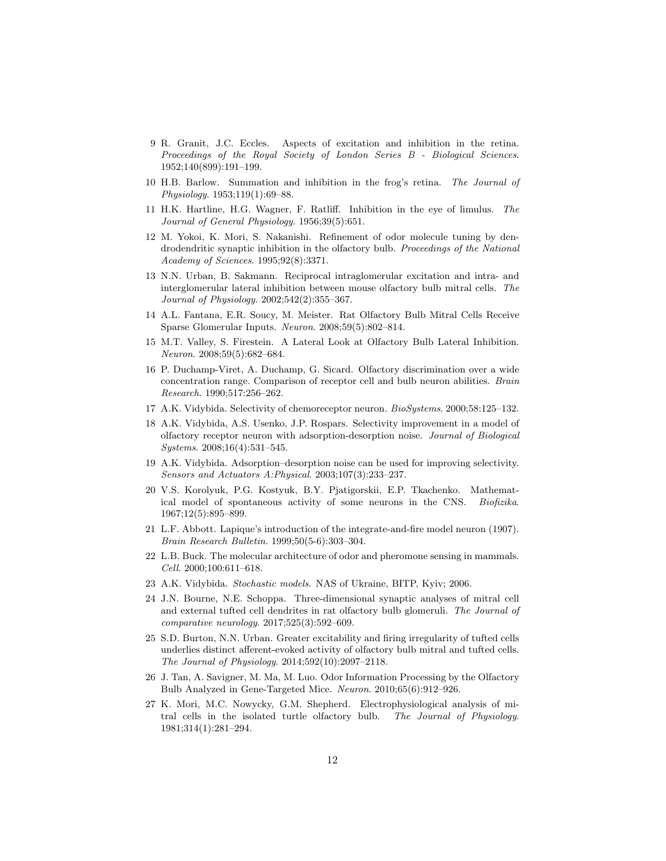- <span id="page-11-0"></span>9 R. Granit, J.C. Eccles. Aspects of excitation and inhibition in the retina. Proceedings of the Royal Society of London Series B - Biological Sciences. 1952;140(899):191–199.
- <span id="page-11-1"></span>10 H.B. Barlow. Summation and inhibition in the frog's retina. The Journal of Physiology. 1953;119(1):69–88.
- <span id="page-11-2"></span>11 H.K. Hartline, H.G. Wagner, F. Ratliff. Inhibition in the eye of limulus. The Journal of General Physiology. 1956;39(5):651.
- <span id="page-11-3"></span>12 M. Yokoi, K. Mori, S. Nakanishi. Refinement of odor molecule tuning by dendrodendritic synaptic inhibition in the olfactory bulb. Proceedings of the National Academy of Sciences. 1995;92(8):3371.
- <span id="page-11-4"></span>13 N.N. Urban, B. Sakmann. Reciprocal intraglomerular excitation and intra- and interglomerular lateral inhibition between mouse olfactory bulb mitral cells. The Journal of Physiology. 2002;542(2):355–367.
- <span id="page-11-5"></span>14 A.L. Fantana, E.R. Soucy, M. Meister. Rat Olfactory Bulb Mitral Cells Receive Sparse Glomerular Inputs. Neuron. 2008;59(5):802–814.
- <span id="page-11-6"></span>15 M.T. Valley, S. Firestein. A Lateral Look at Olfactory Bulb Lateral Inhibition. Neuron. 2008;59(5):682–684.
- <span id="page-11-7"></span>16 P. Duchamp-Viret, A. Duchamp, G. Sicard. Olfactory discrimination over a wide concentration range. Comparison of receptor cell and bulb neuron abilities. Brain Research. 1990;517:256–262.
- <span id="page-11-8"></span>17 A.K. Vidybida. Selectivity of chemoreceptor neuron. BioSystems. 2000;58:125–132.
- <span id="page-11-9"></span>18 A.K. Vidybida, A.S. Usenko, J.P. Rospars. Selectivity improvement in a model of olfactory receptor neuron with adsorption-desorption noise. Journal of Biological Systems. 2008;16(4):531–545.
- <span id="page-11-10"></span>19 A.K. Vidybida. Adsorption–desorption noise can be used for improving selectivity. Sensors and Actuators A:Physical. 2003;107(3):233–237.
- <span id="page-11-11"></span>20 V.S. Korolyuk, P.G. Kostyuk, B.Y. Pjatigorskii, E.P. Tkachenko. Mathematical model of spontaneous activity of some neurons in the CNS. Biofizika. 1967;12(5):895–899.
- <span id="page-11-12"></span>21 L.F. Abbott. Lapique's introduction of the integrate-and-fire model neuron (1907). Brain Research Bulletin. 1999;50(5-6):303–304.
- <span id="page-11-13"></span>22 L.B. Buck. The molecular architecture of odor and pheromone sensing in mammals. Cell. 2000;100:611–618.
- <span id="page-11-14"></span>23 A.K. Vidybida. Stochastic models. NAS of Ukraine, BITP, Kyiv; 2006.
- <span id="page-11-18"></span>24 J.N. Bourne, N.E. Schoppa. Three-dimensional synaptic analyses of mitral cell and external tufted cell dendrites in rat olfactory bulb glomeruli. The Journal of comparative neurology. 2017;525(3):592–609.
- <span id="page-11-15"></span>25 S.D. Burton, N.N. Urban. Greater excitability and firing irregularity of tufted cells underlies distinct afferent-evoked activity of olfactory bulb mitral and tufted cells. The Journal of Physiology. 2014;592(10):2097–2118.
- <span id="page-11-16"></span>26 J. Tan, A. Savigner, M. Ma, M. Luo. Odor Information Processing by the Olfactory Bulb Analyzed in Gene-Targeted Mice. Neuron. 2010;65(6):912–926.
- <span id="page-11-17"></span>27 K. Mori, M.C. Nowycky, G.M. Shepherd. Electrophysiological analysis of mitral cells in the isolated turtle olfactory bulb. The Journal of Physiology. 1981;314(1):281–294.